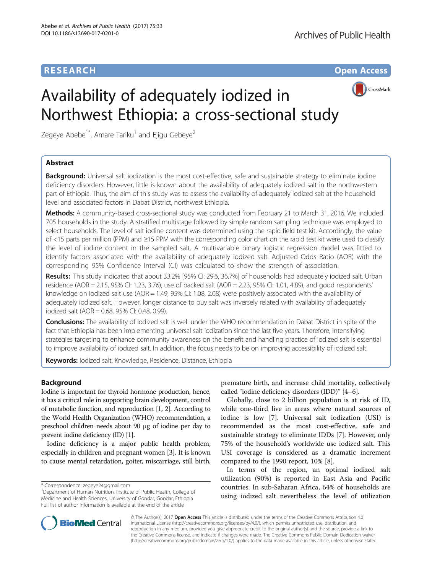# **RESEARCH CHE Open Access**



# Availability of adequately iodized in Northwest Ethiopia: a cross-sectional study

Zegeye Abebe<sup>1\*</sup>, Amare Tariku<sup>1</sup> and Ejigu Gebeye<sup>2</sup>

# Abstract

Background: Universal salt iodization is the most cost-effective, safe and sustainable strategy to eliminate iodine deficiency disorders. However, little is known about the availability of adequately iodized salt in the northwestern part of Ethiopia. Thus, the aim of this study was to assess the availability of adequately iodized salt at the household level and associated factors in Dabat District, northwest Ethiopia.

Methods: A community-based cross-sectional study was conducted from February 21 to March 31, 2016. We included 705 households in the study. A stratified multistage followed by simple random sampling technique was employed to select households. The level of salt iodine content was determined using the rapid field test kit. Accordingly, the value of <15 parts per million (PPM) and ≥15 PPM with the corresponding color chart on the rapid test kit were used to classify the level of iodine content in the sampled salt. A multivariable binary logistic regression model was fitted to identify factors associated with the availability of adequately iodized salt. Adjusted Odds Ratio (AOR) with the corresponding 95% Confidence Interval (CI) was calculated to show the strength of association.

Results: This study indicated that about 33.2% [95% CI: 29.6, 36.7%] of households had adequately iodized salt. Urban residence (AOR = 2.15, 95% CI: 1.23, 3.76), use of packed salt (AOR = 2.23, 95% CI: 1.01, 4.89), and good respondents' knowledge on iodized salt use (AOR = 1.49, 95% CI: 1.08, 2.08) were positively associated with the availability of adequately iodized salt. However, longer distance to buy salt was inversely related with availability of adequately iodized salt (AOR = 0.68, 95% CI: 0.48, 0.99).

Conclusions: The availability of iodized salt is well under the WHO recommendation in Dabat District in spite of the fact that Ethiopia has been implementing universal salt iodization since the last five years. Therefore, intensifying strategies targeting to enhance community awareness on the benefit and handling practice of iodized salt is essential to improve availability of iodized salt. In addition, the focus needs to be on improving accessibility of iodized salt.

Keywords: lodized salt, Knowledge, Residence, Distance, Ethiopia

## Background

Iodine is important for thyroid hormone production, hence, it has a critical role in supporting brain development, control of metabolic function, and reproduction [\[1](#page-7-0), [2\]](#page-7-0). According to the World Health Organization (WHO) recommendation, a preschool children needs about 90 μg of iodine per day to prevent iodine deficiency (ID) [\[1](#page-7-0)].

Iodine deficiency is a major public health problem, especially in children and pregnant women [\[3](#page-7-0)]. It is known to cause mental retardation, goiter, miscarriage, still birth,

premature birth, and increase child mortality, collectively called "iodine deficiency disorders (IDD)" [\[4](#page-7-0)–[6\]](#page-7-0).

Globally, close to 2 billion population is at risk of ID, while one-third live in areas where natural sources of iodine is low [[7\]](#page-7-0). Universal salt iodization (USI) is recommended as the most cost-effective, safe and sustainable strategy to eliminate IDDs [[7\]](#page-7-0). However, only 75% of the household's worldwide use iodized salt. This USI coverage is considered as a dramatic increment compared to the 1990 report, 10% [\[8](#page-7-0)].

In terms of the region, an optimal iodized salt utilization (90%) is reported in East Asia and Pacific countries. In sub-Saharan Africa, 64% of households are using iodized salt nevertheless the level of utilization



© The Author(s). 2017 **Open Access** This article is distributed under the terms of the Creative Commons Attribution 4.0 International License [\(http://creativecommons.org/licenses/by/4.0/](http://creativecommons.org/licenses/by/4.0/)), which permits unrestricted use, distribution, and reproduction in any medium, provided you give appropriate credit to the original author(s) and the source, provide a link to the Creative Commons license, and indicate if changes were made. The Creative Commons Public Domain Dedication waiver [\(http://creativecommons.org/publicdomain/zero/1.0/](http://creativecommons.org/publicdomain/zero/1.0/)) applies to the data made available in this article, unless otherwise stated.

<sup>\*</sup> Correspondence: [zegeye24@gmail.com](mailto:zegeye24@gmail.com) <sup>1</sup>

<sup>&</sup>lt;sup>1</sup>Department of Human Nutrition, Institute of Public Health, College of Medicine and Health Sciences, University of Gondar, Gondar, Ethiopia Full list of author information is available at the end of the article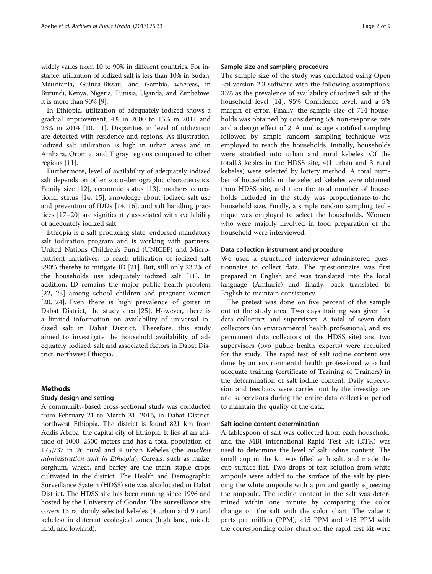widely varies from 10 to 90% in different countries. For instance, utilization of iodized salt is less than 10% in Sudan, Mauritania, Guinea-Bissau, and Gambia, whereas, in Burundi, Kenya, Nigeria, Tunisia, Uganda, and Zimbabwe, it is more than 90% [\[9\]](#page-7-0).

In Ethiopia, utilization of adequately iodized shows a gradual improvement, 4% in 2000 to 15% in 2011 and 23% in 2014 [[10](#page-7-0), [11\]](#page-7-0). Disparities in level of utilization are detected with residence and regions. As illustration, iodized salt utilization is high in urban areas and in Amhara, Oromia, and Tigray regions compared to other regions [\[11](#page-7-0)].

Furthermore, level of availability of adequately iodized salt depends on other socio-demographic characteristics. Family size [[12\]](#page-7-0), economic status [[13](#page-7-0)], mothers educational status [\[14, 15\]](#page-7-0), knowledge about iodized salt use and prevention of IDDs [\[14](#page-7-0), [16](#page-7-0)], and salt handling practices [[17](#page-7-0)–[20](#page-7-0)] are significantly associated with availability of adequately iodized salt.

Ethiopia is a salt producing state, endorsed mandatory salt iodization program and is working with partners, United Nations Children's Fund (UNICEF) and Micronutrient Initiatives, to reach utilization of iodized salt >90% thereby to mitigate ID [[21](#page-7-0)]. But, still only 23.2% of the households use adequately iodized salt [[11\]](#page-7-0). In addition, ID remains the major public health problem [[22, 23\]](#page-7-0) among school children and pregnant women [[20](#page-7-0), [24](#page-7-0)]. Even there is high prevalence of goiter in Dabat District, the study area [\[25](#page-7-0)]. However, there is a limited information on availability of universal iodized salt in Dabat District. Therefore, this study aimed to investigate the household availability of adequately iodized salt and associated factors in Dabat District, northwest Ethiopia.

## Methods

## Study design and setting

A community-based cross-sectional study was conducted from February 21 to March 31, 2016, in Dabat District, northwest Ethiopia. The district is found 821 km from Addis Ababa, the capital city of Ethiopia. It lies at an altitude of 1000–2500 meters and has a total population of 175,737 in 26 rural and 4 urban Kebeles (the smallest administration unit in Ethiopia). Cereals, such as maize, sorghum, wheat, and barley are the main staple crops cultivated in the district. The Health and Demographic Surveillance System (HDSS) site was also located in Dabat District. The HDSS site has been running since 1996 and hosted by the University of Gondar. The surveillance site covers 13 randomly selected kebeles (4 urban and 9 rural kebeles) in different ecological zones (high land, middle land, and lowland).

#### Sample size and sampling procedure

The sample size of the study was calculated using Open Epi version 2.3 software with the following assumptions; 33% as the prevalence of availability of iodized salt at the household level [[14](#page-7-0)], 95% Confidence level, and a 5% margin of error. Finally, the sample size of 714 households was obtained by considering 5% non-response rate and a design effect of 2. A multistage stratified sampling followed by simple random sampling technique was employed to reach the households. Initially, households were stratified into urban and rural kebeles. Of the total13 kebles in the HDSS site, 4(1 urban and 3 rural kebeles) were selected by lottery method. A total number of households in the selected kebeles were obtained from HDSS site, and then the total number of households included in the study was proportionate-to-the household size. Finally, a simple random sampling technique was employed to select the households. Women who were majorly involved in food preparation of the household were interviewed.

#### Data collection instrument and procedure

We used a structured interviewer-administered questionnaire to collect data. The questionnaire was first prepared in English and was translated into the local language (Amharic) and finally, back translated to English to maintain consistency.

The pretest was done on five percent of the sample out of the study area. Two days training was given for data collectors and supervisors. A total of seven data collectors (an environmental health professional, and six permanent data collectors of the HDSS site) and two supervisors (two public health experts) were recruited for the study. The rapid test of salt iodine content was done by an environmental health professional who had adequate training (certificate of Training of Trainers) in the determination of salt iodine content. Daily supervision and feedback were carried out by the investigators and supervisors during the entire data collection period to maintain the quality of the data.

## Salt iodine content determination

A tablespoon of salt was collected from each household, and the MBI international Rapid Test Kit (RTK) was used to determine the level of salt iodine content. The small cup in the kit was filled with salt, and made the cup surface flat. Two drops of test solution from white ampoule were added to the surface of the salt by piercing the white ampoule with a pin and gently squeezing the ampoule. The iodine content in the salt was determined within one minute by comparing the color change on the salt with the color chart. The value 0 parts per million (PPM), <15 PPM and ≥15 PPM with the corresponding color chart on the rapid test kit were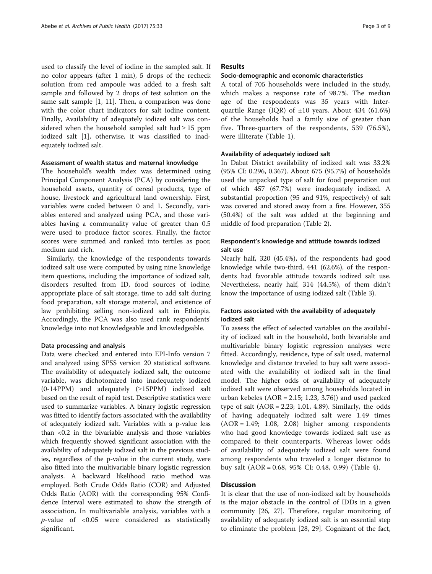used to classify the level of iodine in the sampled salt. If no color appears (after 1 min), 5 drops of the recheck solution from red ampoule was added to a fresh salt sample and followed by 2 drops of test solution on the same salt sample [\[1](#page-7-0), [11](#page-7-0)]. Then, a comparison was done with the color chart indicators for salt iodine content. Finally, Availability of adequately iodized salt was considered when the household sampled salt had  $\geq 15$  ppm iodized salt [\[1](#page-7-0)], otherwise, it was classified to inadequately iodized salt.

## Assessment of wealth status and maternal knowledge

The household's wealth index was determined using Principal Component Analysis (PCA) by considering the household assets, quantity of cereal products, type of house, livestock and agricultural land ownership. First, variables were coded between 0 and 1. Secondly, variables entered and analyzed using PCA, and those variables having a communality value of greater than 0.5 were used to produce factor scores. Finally, the factor scores were summed and ranked into tertiles as poor, medium and rich.

Similarly, the knowledge of the respondents towards iodized salt use were computed by using nine knowledge item questions, including the importance of iodized salt, disorders resulted from ID, food sources of iodine, appropriate place of salt storage, time to add salt during food preparation, salt storage material, and existence of law prohibiting selling non-iodized salt in Ethiopia. Accordingly, the PCA was also used rank respondents' knowledge into not knowledgeable and knowledgeable.

#### Data processing and analysis

Data were checked and entered into EPI-Info version 7 and analyzed using SPSS version 20 statistical software. The availability of adequately iodized salt, the outcome variable, was dichotomized into inadequately iodized (0-14PPM) and adequately (≥15PPM) iodized salt based on the result of rapid test. Descriptive statistics were used to summarize variables. A binary logistic regression was fitted to identify factors associated with the availability of adequately iodized salt. Variables with a p-value less than <0.2 in the bivariable analysis and those variables which frequently showed significant association with the availability of adequately iodized salt in the previous studies, regardless of the p-value in the current study, were also fitted into the multivariable binary logistic regression analysis. A backward likelihood ratio method was employed. Both Crude Odds Ratio (COR) and Adjusted Odds Ratio (AOR) with the corresponding 95% Confidence Interval were estimated to show the strength of association. In multivariable analysis, variables with a  $p$ -value of <0.05 were considered as statistically significant.

## Results

#### Socio-demographic and economic characteristics

A total of 705 households were included in the study, which makes a response rate of 98.7%. The median age of the respondents was 35 years with Interquartile Range (IQR) of  $\pm 10$  years. About 434 (61.6%) of the households had a family size of greater than five. Three-quarters of the respondents, 539 (76.5%), were illiterate (Table [1](#page-3-0)).

#### Availability of adequately iodized salt

In Dabat District availability of iodized salt was 33.2% (95% CI: 0.296, 0.367). About 675 (95.7%) of households used the unpacked type of salt for food preparation out of which 457 (67.7%) were inadequately iodized. A substantial proportion (95 and 91%, respectively) of salt was covered and stored away from a fire. However, 355 (50.4%) of the salt was added at the beginning and middle of food preparation (Table [2](#page-3-0)).

## Respondent's knowledge and attitude towards iodized salt use

Nearly half, 320 (45.4%), of the respondents had good knowledge while two-third, 441 (62.6%), of the respondents had favorable attitude towards iodized salt use. Nevertheless, nearly half, 314 (44.5%), of them didn't know the importance of using iodized salt (Table [3](#page-4-0)).

## Factors associated with the availability of adequately iodized salt

To assess the effect of selected variables on the availability of iodized salt in the household, both bivariable and multivariable binary logistic regression analyses were fitted. Accordingly, residence, type of salt used, maternal knowledge and distance traveled to buy salt were associated with the availability of iodized salt in the final model. The higher odds of availability of adequately iodized salt were observed among households located in urban kebeles  $(AOR = 2.15; 1.23, 3.76)$  and used packed type of salt  $(AOR = 2.23; 1.01, 4.89)$ . Similarly, the odds of having adequately iodized salt were 1.49 times  $(AOR = 1.49; 1.08, 2.08)$  higher among respondents who had good knowledge towards iodized salt use as compared to their counterparts. Whereas lower odds of availability of adequately iodized salt were found among respondents who traveled a longer distance to buy salt (AOR = 0.68, 95% CI: 0.48, 0.99) (Table [4\)](#page-5-0).

## Discussion

It is clear that the use of non-iodized salt by households is the major obstacle in the control of IDDs in a given community [[26, 27\]](#page-7-0). Therefore, regular monitoring of availability of adequately iodized salt is an essential step to eliminate the problem [[28](#page-7-0), [29\]](#page-7-0). Cognizant of the fact,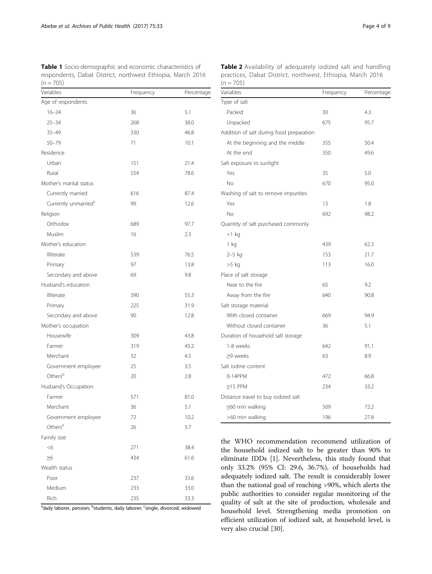<span id="page-3-0"></span>Table 1 Socio-demographic and economic characteristics of respondents, Dabat District, northwest Ethiopia, March 2016  $(n = 705)$ 

| Variables                        | Frequency | Percentage |
|----------------------------------|-----------|------------|
| Age of respondents               |           |            |
| $16 - 24$                        | 36        | 5.1        |
| $25 - 34$                        | 268       | 38.0       |
| $35 - 49$                        | 330       | 46.8       |
| $50 - 79$                        | 71        | 10.1       |
| Residence                        |           |            |
| Urban                            | 151       | 21.4       |
| Rural                            | 554       | 78.6       |
| Mother's marital status          |           |            |
| Currently married                | 616       | 87.4       |
| Currently unmarried <sup>c</sup> | 99        | 12.6       |
| Religion                         |           |            |
| Orthodox                         | 689       | 97.7       |
| Muslim                           | 16        | 2.3        |
| Mother's education               |           |            |
| Illiterate                       | 539       | 76.5       |
| Primary                          | 97        | 13.8       |
| Secondary and above              | 69        | 9.8        |
| Husband's education              |           |            |
| Illiterate                       | 390       | 55.3       |
| Primary                          | 225       | 31.9       |
| Secondary and above              | 90        | 12.8       |
| Mother's occupation              |           |            |
| Housewife                        | 309       | 43.8       |
| Farmer                           | 319       | 45.2       |
| Merchant                         | 32        | 4.5        |
| Government employee              | 25        | 3.5        |
| Othersb                          | 20        | 2.8        |
| Husband's Occupation             |           |            |
| Farmer                           | 571       | 81.0       |
| Merchant                         | 36        | 5.1        |
| Government employee              | 72        | 10.2       |
| Others <sup>a</sup>              | 26        | 3.7        |
| Family size                      |           |            |
| <6                               | 271       | 38.4       |
| $\geq 6$                         | 434       | 61.6       |
| Wealth status                    |           |            |
| Poor                             | 237       | 33.6       |
| Medium                           | 233       | 33.0       |
| Rich                             | 235       | 33.3       |

<sup>a</sup>daily laborer, pension; <sup>b</sup>students, daily laborer; <sup>c</sup>single, divorced, widowed

Table 2 Availability of adequately iodized salt and handling practices, Dabat District, northwest, Ethiopia, March 2016  $(n = 705)$ 

| Variables                                | Frequency | Percentage |
|------------------------------------------|-----------|------------|
| Type of salt                             |           |            |
| Packed                                   | 30        | 4.3        |
| Unpacked                                 | 675       | 95.7       |
| Addition of salt during food preparation |           |            |
| At the beginning and the middle          | 355       | 50.4       |
| At the end                               | 350       | 49.6       |
| Salt exposure to sunlight                |           |            |
| Yes                                      | 35        | 5.0        |
| No                                       | 670       | 95.0       |
| Washing of salt to remove impurities     |           |            |
| Yes                                      | 13        | 1.8        |
| <b>No</b>                                | 692       | 98.2       |
| Quantity of salt purchased commonly      |           |            |
| $<$ 1 kg                                 |           |            |
| $1$ kg                                   | 439       | 62.3       |
| $2-5$ kg                                 | 153       | 21.7       |
| $>5$ kg                                  | 113       | 16.0       |
| Place of salt storage                    |           |            |
| Near to the fire                         | 65        | 9.2        |
| Away from the fire                       | 640       | 90.8       |
| Salt storage material                    |           |            |
| With closed container                    | 669       | 94.9       |
| Without closed container                 | 36        | 5.1        |
| Duration of household salt storage       |           |            |
| 1-8 weeks                                | 642       | 91.1       |
| >9 weeks                                 | 63        | 8.9        |
| Salt jodine content                      |           |            |
| 0-14PPM                                  | 472       | 66.8       |
| $\geq$ 15 PPM                            | 234       | 33.2       |
| Distance travel to buy iodized salt      |           |            |
| $\leq 60$ min walking                    | 509       | 72.2       |
| >60 min walking                          | 196       | 27.8       |

the WHO recommendation recommend utilization of the household iodized salt to be greater than 90% to eliminate IDDs [[1\]](#page-7-0). Nevertheless, this study found that only 33.2% (95% CI: 29.6, 36.7%), of households had adequately iodized salt. The result is considerably lower than the national goal of reaching >90%, which alerts the public authorities to consider regular monitoring of the quality of salt at the site of production, wholesale and household level. Strengthening media promotion on efficient utilization of iodized salt, at household level, is very also crucial [[30\]](#page-7-0).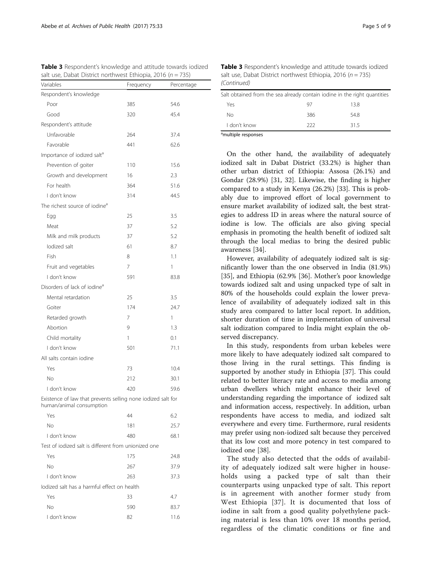| Variables                                                                                | Frequency | Percentage |
|------------------------------------------------------------------------------------------|-----------|------------|
| Respondent's knowledge                                                                   |           |            |
| Poor                                                                                     | 385       | 54.6       |
| Good                                                                                     | 320       | 45.4       |
| Respondent's attitude                                                                    |           |            |
| Unfavorable                                                                              | 264       | 37.4       |
| Favorable                                                                                | 441       | 62.6       |
| Importance of iodized salt <sup>a</sup>                                                  |           |            |
| Prevention of goiter                                                                     | 110       | 15.6       |
| Growth and development                                                                   | 16        | 2.3        |
| For health                                                                               | 364       | 51.6       |
| I don't know                                                                             | 314       | 44.5       |
| The richest source of iodine <sup>a</sup>                                                |           |            |
| Egg                                                                                      | 25        | 3.5        |
| Meat                                                                                     | 37        | 5.2        |
| Milk and milk products                                                                   | 37        | 5.2        |
| lodized salt                                                                             | 61        | 8.7        |
| Fish                                                                                     | 8         | 1.1        |
| Fruit and vegetables                                                                     | 7         | 1          |
| I don't know                                                                             | 591       | 83.8       |
| Disorders of lack of iodine <sup>a</sup>                                                 |           |            |
| Mental retardation                                                                       | 25        | 3.5        |
| Goiter                                                                                   | 174       | 24.7       |
| Retarded growth                                                                          | 7         | 1          |
| Abortion                                                                                 | 9         | 1.3        |
| Child mortality                                                                          | 1         | 0.1        |
| I don't know                                                                             | 501       | 71.1       |
| All salts contain iodine                                                                 |           |            |
| Yes                                                                                      | 73        | 10.4       |
| No                                                                                       | 212       | 30.1       |
| I don't know                                                                             | 420       | 59.6       |
| Existence of law that prevents selling none iodized salt for<br>human/animal consumption |           |            |
| Yes                                                                                      | 44        | 6.2        |
| No                                                                                       | 181       | 25.7       |
| I don't know                                                                             | 480       | 68.1       |
| Test of iodized salt is different from unionized one                                     |           |            |
| Yes                                                                                      | 175       | 24.8       |
| No.                                                                                      | 267       | 37.9       |
| I don't know                                                                             | 263       | 37.3       |
| lodized salt has a harmful effect on health                                              |           |            |
| Yes                                                                                      | 33        | 4.7        |
| No                                                                                       | 590       | 83.7       |
| I don't know                                                                             | 82        | 11.6       |
|                                                                                          |           |            |

<span id="page-4-0"></span>

|  | <b>Table 3</b> Respondent's knowledge and attitude towards iodized |
|--|--------------------------------------------------------------------|
|  | salt use, Dabat District northwest Ethiopia, 2016 ( $n = 735$ )    |

Table 3 Respondent's knowledge and attitude towards iodized salt use, Dabat District northwest Ethiopia, 2016 ( $n = 735$ ) (Continued)

|                                 | Salt obtained from the sea already contain iodine in the right quantities |      |
|---------------------------------|---------------------------------------------------------------------------|------|
| Yes                             | 97                                                                        | 13.8 |
| Nο                              | 386                                                                       | 548  |
| I don't know                    | 222                                                                       | 315  |
| <sup>a</sup> multiple responses |                                                                           |      |

On the other hand, the availability of adequately iodized salt in Dabat District (33.2%) is higher than other urban district of Ethiopia: Assosa (26.1%) and Gondar (28.9%) [[31, 32\]](#page-7-0). Likewise, the finding is higher compared to a study in Kenya (26.2%) [\[33](#page-8-0)]. This is probably due to improved effort of local government to ensure market availability of iodized salt, the best strategies to address ID in areas where the natural source of iodine is low. The officials are also giving special emphasis in promoting the health benefit of iodized salt through the local medias to bring the desired public awareness [[34\]](#page-8-0).

However, availability of adequately iodized salt is significantly lower than the one observed in India (81.9%) [[35\]](#page-8-0), and Ethiopia (62.9% [[36\]](#page-8-0). Mother's poor knowledge towards iodized salt and using unpacked type of salt in 80% of the households could explain the lower prevalence of availability of adequately iodized salt in this study area compared to latter local report. In addition, shorter duration of time in implementation of universal salt iodization compared to India might explain the observed discrepancy.

In this study, respondents from urban kebeles were more likely to have adequately iodized salt compared to those living in the rural settings. This finding is supported by another study in Ethiopia [\[37](#page-8-0)]. This could related to better literacy rate and access to media among urban dwellers which might enhance their level of understanding regarding the importance of iodized salt and information access, respectively. In addition, urban respondents have access to media, and iodized salt everywhere and every time. Furthermore, rural residents may prefer using non-iodized salt because they perceived that its low cost and more potency in test compared to iodized one [\[38\]](#page-8-0).

The study also detected that the odds of availability of adequately iodized salt were higher in households using a packed type of salt than their counterparts using unpacked type of salt. This report is in agreement with another former study from West Ethiopia [[37](#page-8-0)]. It is documented that loss of iodine in salt from a good quality polyethylene packing material is less than 10% over 18 months period, regardless of the climatic conditions or fine and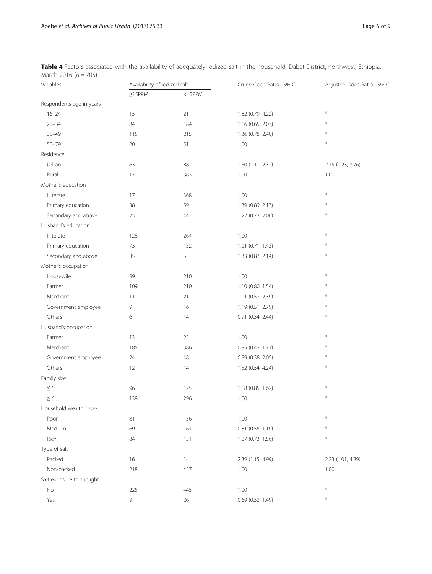| Variables                 | Availability of iodized salt |           | Crude Odds Ratio 95% C1 | Adjusted Odds Ratio 95% C |
|---------------------------|------------------------------|-----------|-------------------------|---------------------------|
|                           | $\geq$ 15PPM                 | $<$ 15PPM |                         |                           |
| Respondents age in years  |                              |           |                         |                           |
| $16 - 24$                 | 15                           | 21        | 1.82 (0.79, 4.22)       | $\ast$                    |
| $25 - 34$                 | 84                           | 184       | 1.16 (0.65, 2.07)       |                           |
| $35 - 49$                 | 115                          | 215       | 1.36 (0.78, 2.40)       |                           |
| $50 - 79$                 | $20\,$                       | 51        | 1.00                    | $\ast$                    |
| Residence                 |                              |           |                         |                           |
| Urban                     | 63                           | 88        | 1.60(1.11, 2.32)        | 2.15 (1.23, 3.76)         |
| Rural                     | 171                          | 383       | 1.00                    | 1.00                      |
| Mother's education        |                              |           |                         |                           |
| Illiterate                | 171                          | 368       | 1.00                    | $\ast$                    |
| Primary education         | 38                           | 59        | 1.39 (0.89, 2.17)       |                           |
| Secondary and above       | 25                           | 44        | 1.22 (0.73, 2.06)       |                           |
| Husband's education       |                              |           |                         |                           |
| Illiterate                | 126                          | 264       | 1.00                    |                           |
| Primary education         | 73                           | 152       | 1.01 (0.71, 1.43)       |                           |
| Secondary and above       | 35                           | 55        | 1.33 (0.83, 2.14)       | $\ast$                    |
| Mother's occupation       |                              |           |                         |                           |
| Housewife                 | 99                           | 210       | 1.00                    | $\ast$                    |
| Farmer                    | 109                          | 210       | 1.10 (0.80, 1.54)       |                           |
| Merchant                  | 11                           | 21        | 1.11 (0.52, 2.39)       |                           |
| Government employee       | 9                            | 16        | 1.19 (0.51, 2.79)       |                           |
| Others                    | 6                            | 14        | 0.91 (0.34, 2.44)       | $\ast$                    |
| Husband's occupation      |                              |           |                         |                           |
| Farmer                    | 13                           | 23        | 1.00                    | $\ast$                    |
| Merchant                  | 185                          | 386       | 0.85 (0.42, 1.71)       |                           |
| Government employee       | 24                           | 48        | 0.89 (0.38, 2.05)       |                           |
| Others                    | 12                           | 14        | 1.52 (0.54, 4.24)       |                           |
| Family size               |                              |           |                         |                           |
| $\leq 5$                  | 96                           | 175       | 1.18 (0.85, 1.62)       |                           |
| $\geq 6$                  | 138                          | 296       | 1.00                    | $\ast$                    |
| Household wealth index    |                              |           |                         |                           |
| Poor                      | 81                           | 156       | 1.00                    | $\ast$                    |
| Medium                    | 69                           | 164       | 0.81 (0.55, 1.19)       |                           |
| Rich                      | 84                           | 151       | 1.07 (0.73, 1.56)       | $\ast$                    |
| Type of salt              |                              |           |                         |                           |
| Packed                    | 16                           | 14        | 2.39 (1.15, 4.99)       | 2.23 (1.01, 4.89)         |
| Non-packed                | 218                          | 457       | 1.00                    | 1.00                      |
| Salt exposure to sunlight |                              |           |                         |                           |
| No                        | 225                          | 445       | 1.00                    | $\ast$                    |
| Yes                       | 9                            | $26\,$    | 0.69 (0.32, 1.49)       | $\ast$                    |

<span id="page-5-0"></span>Table 4 Factors associated with the availability of adequately iodized salt in the household, Dabat District, northwest, Ethiopia, March 2016 ( $n = 705$ )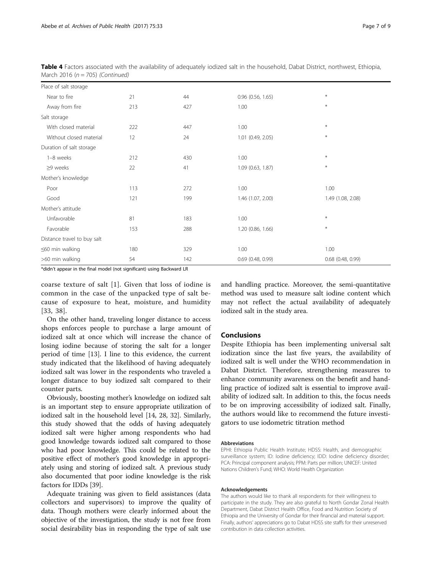| Place of salt storage       |     |     |                     |                   |
|-----------------------------|-----|-----|---------------------|-------------------|
| Near to fire                | 21  | 44  | 0.96 (0.56, 1.65)   | $\ast$            |
| Away from fire              | 213 | 427 | 1.00                | $\ast$            |
| Salt storage                |     |     |                     |                   |
| With closed material        | 222 | 447 | 1.00                | $\ast$            |
| Without closed material     | 12  | 24  | 1.01 (0.49, 2.05)   | $\ast$            |
| Duration of salt storage    |     |     |                     |                   |
| 1-8 weeks                   | 212 | 430 | 1.00                | $\ast$            |
| $\geq$ 9 weeks              | 22  | 41  | 1.09 (0.63, 1.87)   | $\ast$            |
| Mother's knowledge          |     |     |                     |                   |
| Poor                        | 113 | 272 | 1.00                | 1.00              |
| Good                        | 121 | 199 | 1.46 (1.07, 2.00)   | 1.49 (1.08, 2.08) |
| Mother's attitude           |     |     |                     |                   |
| Unfavorable                 | 81  | 183 | 1.00                | $\ast$            |
| Favorable                   | 153 | 288 | 1.20 (0.86, 1.66)   | $\ast$            |
| Distance travel to buy salt |     |     |                     |                   |
| ≤60 min walking             | 180 | 329 | 1.00                | 1.00              |
| >60 min walking             | 54  | 142 | $0.69$ (0.48, 0.99) | 0.68 (0.48, 0.99) |

Table 4 Factors associated with the availability of adequately iodized salt in the household, Dabat District, northwest, Ethiopia, March 2016 ( $n = 705$ ) (Continued)

\*didn't appear in the final model (not significant) using Backward LR

coarse texture of salt [\[1\]](#page-7-0). Given that loss of iodine is common in the case of the unpacked type of salt because of exposure to heat, moisture, and humidity [[33](#page-8-0), [38\]](#page-8-0).

On the other hand, traveling longer distance to access shops enforces people to purchase a large amount of iodized salt at once which will increase the chance of losing iodine because of storing the salt for a longer period of time [[13](#page-7-0)]. I line to this evidence, the current study indicated that the likelihood of having adequately iodized salt was lower in the respondents who traveled a longer distance to buy iodized salt compared to their counter parts.

Obviously, boosting mother's knowledge on iodized salt is an important step to ensure appropriate utilization of iodized salt in the household level [\[14, 28](#page-7-0), [32](#page-7-0)]. Similarly, this study showed that the odds of having adequately iodized salt were higher among respondents who had good knowledge towards iodized salt compared to those who had poor knowledge. This could be related to the positive effect of mother's good knowledge in appropriately using and storing of iodized salt. A previous study also documented that poor iodine knowledge is the risk factors for IDDs [[39\]](#page-8-0).

Adequate training was given to field assistances (data collectors and supervisors) to improve the quality of data. Though mothers were clearly informed about the objective of the investigation, the study is not free from social desirability bias in responding the type of salt use

and handling practice. Moreover, the semi-quantitative method was used to measure salt iodine content which may not reflect the actual availability of adequately iodized salt in the study area.

## Conclusions

Despite Ethiopia has been implementing universal salt iodization since the last five years, the availability of iodized salt is well under the WHO recommendation in Dabat District. Therefore, strengthening measures to enhance community awareness on the benefit and handling practice of iodized salt is essential to improve availability of iodized salt. In addition to this, the focus needs to be on improving accessibility of iodized salt. Finally, the authors would like to recommend the future investigators to use iodometric titration method

#### Abbreviations

EPHI: Ethiopia Public Health Institute; HDSS: Health, and demographic surveillance system; ID: Iodine deficiency; IDD: Iodine deficiency disorder; PCA: Principal component analysis; PPM: Parts per million; UNICEF: United Nations Children's Fund; WHO: World Health Organization

#### Acknowledgements

The authors would like to thank all respondents for their willingness to participate in the study. They are also grateful to North Gondar Zonal Health Department, Dabat District Health Office, Food and Nutrition Society of Ethiopia and the University of Gondar for their financial and material support. Finally, authors' appreciations go to Dabat HDSS site staffs for their unreserved contribution in data collection activities.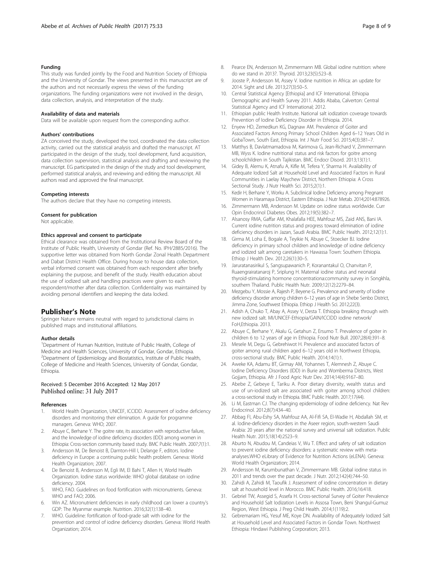#### <span id="page-7-0"></span>Funding

This study was funded jointly by the Food and Nutrition Society of Ethiopia and the University of Gondar. The views presented in this manuscript are of the authors and not necessarily express the views of the funding organizations. The funding organizations were not involved in the design, data collection, analysis, and interpretation of the study.

#### Availability of data and materials

Data will be available upon request from the corresponding author.

#### Authors' contributions

ZA conceived the study, developed the tool, coordinated the data collection activity, carried out the statistical analysis and drafted the manuscript. AT participated in the design of the study, tool development, fund acquisition, data collection supervision, statistical analysis and drafting and reviewing the manuscript. EG participated in the design of the study and tool development, performed statistical analysis, and reviewing and editing the manuscript. All authors read and approved the final manuscript.

#### Competing interests

The authors declare that they have no competing interests.

#### Consent for publication

Not applicable.

#### Ethics approval and consent to participate

Ethical clearance was obtained from the Institutional Review Board of the Institute of Public Health, University of Gondar (Ref. No. IPH/2885/2016). The supportive letter was obtained from North Gondar Zonal Health Department and Dabat District Health Office. During house to house data collection, verbal informed consent was obtained from each respondent after briefly explaining the purpose, and benefit of the study. Health education about the use of iodized salt and handling practices were given to each respondent/mother after data collection. Confidentiality was maintained by avoiding personal identifiers and keeping the data locked.

#### Publisher's Note

Springer Nature remains neutral with regard to jurisdictional claims in published maps and institutional affiliations.

#### Author details

<sup>1</sup>Department of Human Nutrition, Institute of Public Health, College of Medicine and Health Sciences, University of Gondar, Gondar, Ethiopia. <sup>2</sup> Department of Epidemiology and Biostatistics, Institute of Public Health, College of Medicine and Health Sciences, University of Gondar, Gondar, Ethiopia.

#### Received: 5 December 2016 Accepted: 12 May 2017 Published online: 31 July 2017

#### References

- 1. World Health Organization, UNICEF, ICCIDD. Assessment of iodine deficiency disorders and monitoring their elimination. A guide for programme managers. Geneva: WHO; 2007.
- 2. Abuye C, Berhane Y. The goitre rate, its association with reproductive failure, and the knowledge of iodine deficiency disorders (IDD) among women in Ethiopia: Cross-section community based study. BMC Public Health. 2007;7(1):1.
- 3. Andersson M, De Benoist B, Darnton-Hill I, Delange F, editors. Iodine deficiency in Europe: a continuing public health problem. Geneva: World Health Organization; 2007.
- De Benoist B, Andersson M, Egli IM, El Bahi T, Allen H, World Health Organization. Iodine status worldwide: WHO global database on iodine deficiency. 2004.
- 5. WHO, FAO. Guidelines on food fortification with micronutrients. Geneva: WHO and FAO; 2006.
- 6. Win AZ. Micronutrient deficiencies in early childhood can lower a country's GDP: The Myanmar example. Nutrition. 2016;32(1):138–40.
- 7. WHO. Guideline: fortification of food-grade salt with iodine for the prevention and control of iodine deficiency disorders. Geneva: World Health Organization; 2014.
- do we stand in 2013?. Thyroid. 2013;23(5):523–8. 9. Jooste P, Andersson M, Assey V. Iodine nutrition in Africa: an update for
- 2014. Sight and Life. 2013;27(3):50–5. 10. Central Statistical Agency [Ethiopia] and ICF International. Ethiopia Demographic and Health Survey 2011. Addis Ababa, Calverton: Central Statistical Agency and ICF International; 2012.
- 11. Ethiopian public Health Institute. National salt iodization coverage towards Prevention of Iodine Deficiency Disorder in Ethiopia. 2014.
- 12. Enyew HD, Zemedkun KG, Dagnaw AM. Prevalence of Goiter and Associated Factors Among Primary School Children Aged 6–12 Years Old in GobaTown, South East, Ethiopia. Int J Nutr Food Sci. 2015;4(3):381–7.
- 13. Matthys B, Davlatmamadova M, Karimova G, Jean-Richard V, Zimmermann MB, Wyss K. Iodine nutritional status and risk factors for goitre among schoolchildren in South Tajikistan. BMC Endocr Disord. 2013;13(1):1.
- 14. Gidey B, Alemu K, Atnafu A, Kifle M, Tefera Y, Sharma H. Availability of Adequate Iodized Salt at Household Level and Associated Factors in Rural Communities in Laelay Maychew District, Northern Ethiopia: A Cross Sectional Study. J Nutr Health Sci. 2015;2(1):1.
- 15. Kedir H, Berhane Y, Worku A. Subclinical Iodine Deficiency among Pregnant Women in Haramaya District, Eastern Ethiopia. J Nutr Metab. 2014;2014:878926.
- 16. Zimmermann MB, Andersson M. Update on iodine status worldwide. Curr Opin Endocrinol Diabetes Obes. 2012;19(5):382–7.
- 17. Alsanosy RMA, Gaffar AM, Khalafalla HEE, Mahfouz MS, Zaid ANS, Bani IA. Current iodine nutrition status and progress toward elimination of iodine deficiency disorders in Jazan, Saudi Arabia. BMC Public Health. 2012;12(1):1.
- 18. Girma M, Loha E, Bogale A, Teyikie N, Abuye C, Stoecker BJ. Iodine deficiency in primary school children and knowledge of iodine deficiency and iodized salt among caretakers in Hawassa Town: Southern Ethiopia. Ethiop J Health Dev. 2012;26(1):30–5.
- 19. Jaruratanasirikul S, Sangsupawanich P, Koranantakul O, Chanvitan P, Ruaengrairatanaroj P, Sriplung H. Maternal iodine status and neonatal thyroid-stimulating hormone concentrationa:community survey in Songkhla, southern Thailand. Public Health Nutr. 2009;12(12):2279–84.
- 20. Mezgebu Y, Mossie A, Rajesh P, Beyene G. Prevalence and serverity of Iodine deficiency disorder among children 6–12 years of age in Shebe Senbo District, Jimma Zone, Southwest Ethiopia. Ethiop J Health Sci. 2012;22(3).
- 21. Adish A, Chuko T, Abay A, Assey V, Desta T. Ethiopia breaking through with new iodized salt. MI/UNICEF-Ethiopia/GAIN/ICCIDD iodine network/ FoH,Ethiopia. 2013.
- 22. Abuye C, Berhane Y, Akalu G, Getahun Z, Ersumo T. Prevalence of goiter in children 6 to 12 years of age in Ethiopia. Food Nutr Bull. 2007;28(4):391–8.
- 23. Mesele M, Degu G, Gebrehiwot H. Prevalence and associated factors of goiter among rural children aged 6–12 years old in Northwest Ethiopia, cross-sectional study. BMC Public Health. 2014;14(1):1.
- 24. Aweke KA, Adamu BT, Girmay AM, Yohannes T, Alemnesh Z, Abuye C. Iodine Deficiency Disorders (IDD) in Burie and Womberma Districts, West Gojjam, Ethiopia. Afr J Food Agric Nutr Dev. 2014;14(4):9167–80.
- 25. Abebe Z, Gebeye E, Tariku A. Poor dietary diversity, wealth status and use of un-iodized salt are associated with goiter among school children: a cross-sectional study in Ethiopia. BMC Public Health. 2017;17(44).
- 26. Li M, Eastman CJ. The changing epidemiology of iodine deficiency. Nat Rev Endocrinol. 2012;8(7):434–40.
- 27. Abbag FI, Abu-Eshy SA, Mahfouz AA, Al-Fifi SA, El-Wadie H, Abdallah SM, et al. Iodine-deficiency disorders in the Aseer region, south-western Saudi Arabia: 20 years after the national survey and universal salt iodization. Public Health Nutr. 2015;18(14):2523–9.
- 28. Aburto N, Abudou M, Candeias V, Wu T. Effect and safety of salt iodization to prevent iodine deficiency disorders: a systematic review with metaanalyses.WHO eLibrary of Evidence for Nutrition Actions (eLENA). Geneva: World Health Organization; 2014.
- 29. Andersson M, Karumbunathan V, Zimmermann MB. Global iodine status in 2011 and trends over the past decade. J Nutr. 2012;142(4):744–50.
- 30. Zahidi A, Zahidi M, Taoufik J. Assessment of iodine concentration in dietary salt at household level in Morocco. BMC Public Health. 2016;16:418.
- 31. Gebriel TW, Assegid S, Assefa H. Cross-sectional Survey of Goiter Prevalence and Household Salt Iodization Levels in Assosa Town, Beni Shangul-Gumuz Region, West Ethiopia. J Preg Child Health. 2014;1(119):2.
- 32. Gebremariam HG, Yesuf ME, Koye DN. Availability of Adequately Iodized Salt at Household Level and Associated Factors in Gondar Town. Northwest Ethiopia: Hindawi Publishing Corporation; 2013.